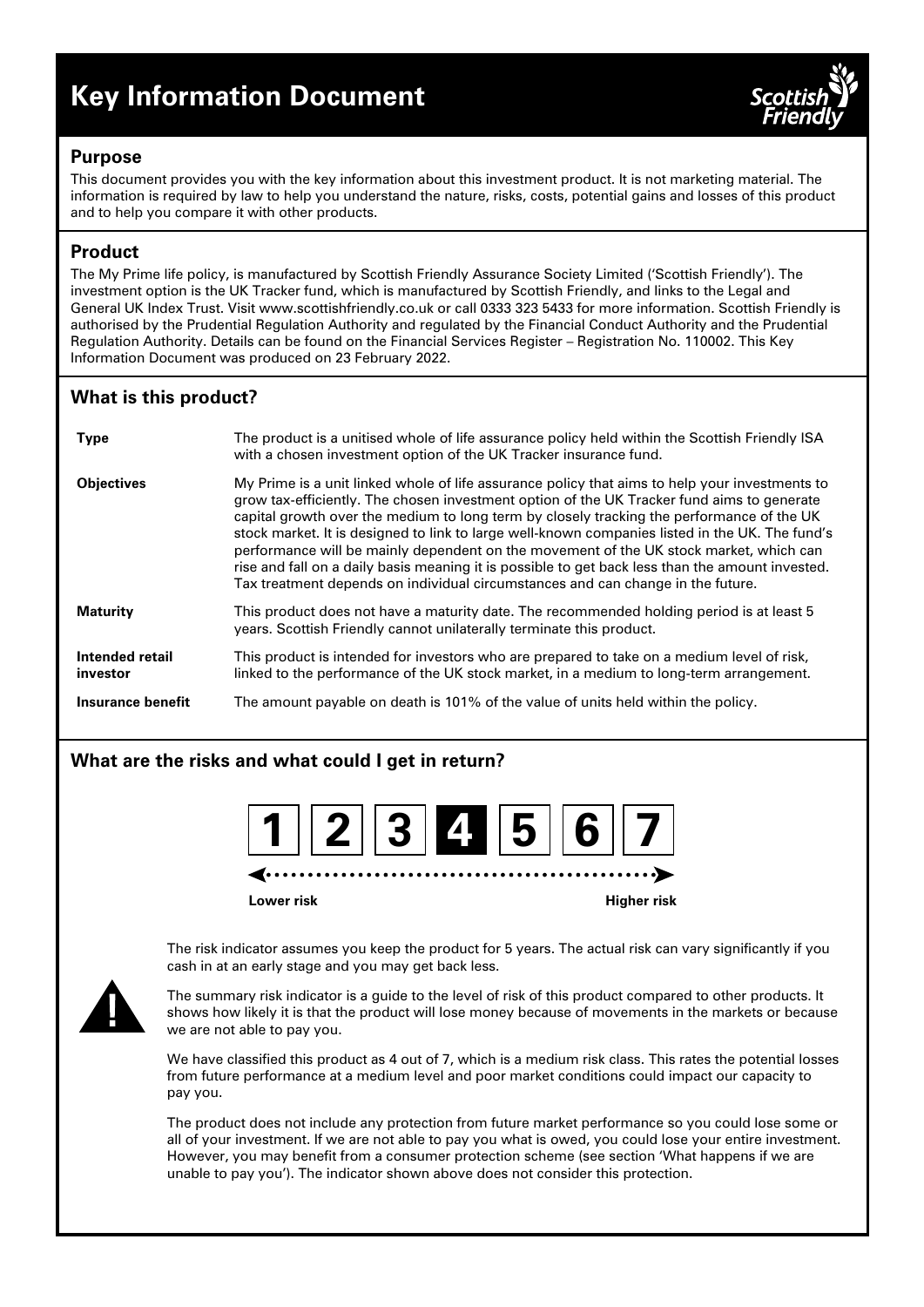# **Key Information Document**



## **Purpose**

This document provides you with the key information about this investment product. It is not marketing material. The information is required by law to help you understand the nature, risks, costs, potential gains and losses of this product and to help you compare it with other products.

# **Product**

The My Prime life policy, is manufactured by Scottish Friendly Assurance Society Limited ('Scottish Friendly'). The investment option is the UK Tracker fund, which is manufactured by Scottish Friendly, and links to the Legal and General UK Index Trust. Visit www.scottishfriendly.co.uk or call 0333 323 5433 for more information. Scottish Friendly is authorised by the Prudential Regulation Authority and regulated by the Financial Conduct Authority and the Prudential Regulation Authority. Details can be found on the Financial Services Register – Registration No. 110002. This Key Information Document was produced on 23 February 2022.

# **What is this product?**

| <b>Type</b>                 | The product is a unitised whole of life assurance policy held within the Scottish Friendly ISA<br>with a chosen investment option of the UK Tracker insurance fund.                                                                                                                                                                                                                                                                                                                                                                                                                                                                                                           |
|-----------------------------|-------------------------------------------------------------------------------------------------------------------------------------------------------------------------------------------------------------------------------------------------------------------------------------------------------------------------------------------------------------------------------------------------------------------------------------------------------------------------------------------------------------------------------------------------------------------------------------------------------------------------------------------------------------------------------|
| <b>Objectives</b>           | My Prime is a unit linked whole of life assurance policy that aims to help your investments to<br>grow tax-efficiently. The chosen investment option of the UK Tracker fund aims to generate<br>capital growth over the medium to long term by closely tracking the performance of the UK<br>stock market. It is designed to link to large well-known companies listed in the UK. The fund's<br>performance will be mainly dependent on the movement of the UK stock market, which can<br>rise and fall on a daily basis meaning it is possible to get back less than the amount invested.<br>Tax treatment depends on individual circumstances and can change in the future. |
| <b>Maturity</b>             | This product does not have a maturity date. The recommended holding period is at least 5<br>years. Scottish Friendly cannot unilaterally terminate this product.                                                                                                                                                                                                                                                                                                                                                                                                                                                                                                              |
| Intended retail<br>investor | This product is intended for investors who are prepared to take on a medium level of risk,<br>linked to the performance of the UK stock market, in a medium to long-term arrangement.                                                                                                                                                                                                                                                                                                                                                                                                                                                                                         |
| Insurance benefit           | The amount payable on death is 101% of the value of units held within the policy.                                                                                                                                                                                                                                                                                                                                                                                                                                                                                                                                                                                             |

# **What are the risks and what could I get in return?**



**Lower risk Higher risk**



The risk indicator assumes you keep the product for 5 years. The actual risk can vary significantly if you cash in at an early stage and you may get back less.

The summary risk indicator is a guide to the level of risk of this product compared to other products. It shows how likely it is that the product will lose money because of movements in the markets or because we are not able to pay you.

We have classified this product as 4 out of 7, which is a medium risk class. This rates the potential losses from future performance at a medium level and poor market conditions could impact our capacity to pay you.

The product does not include any protection from future market performance so you could lose some or all of your investment. If we are not able to pay you what is owed, you could lose your entire investment. However, you may benefit from a consumer protection scheme (see section 'What happens if we are unable to pay you'). The indicator shown above does not consider this protection.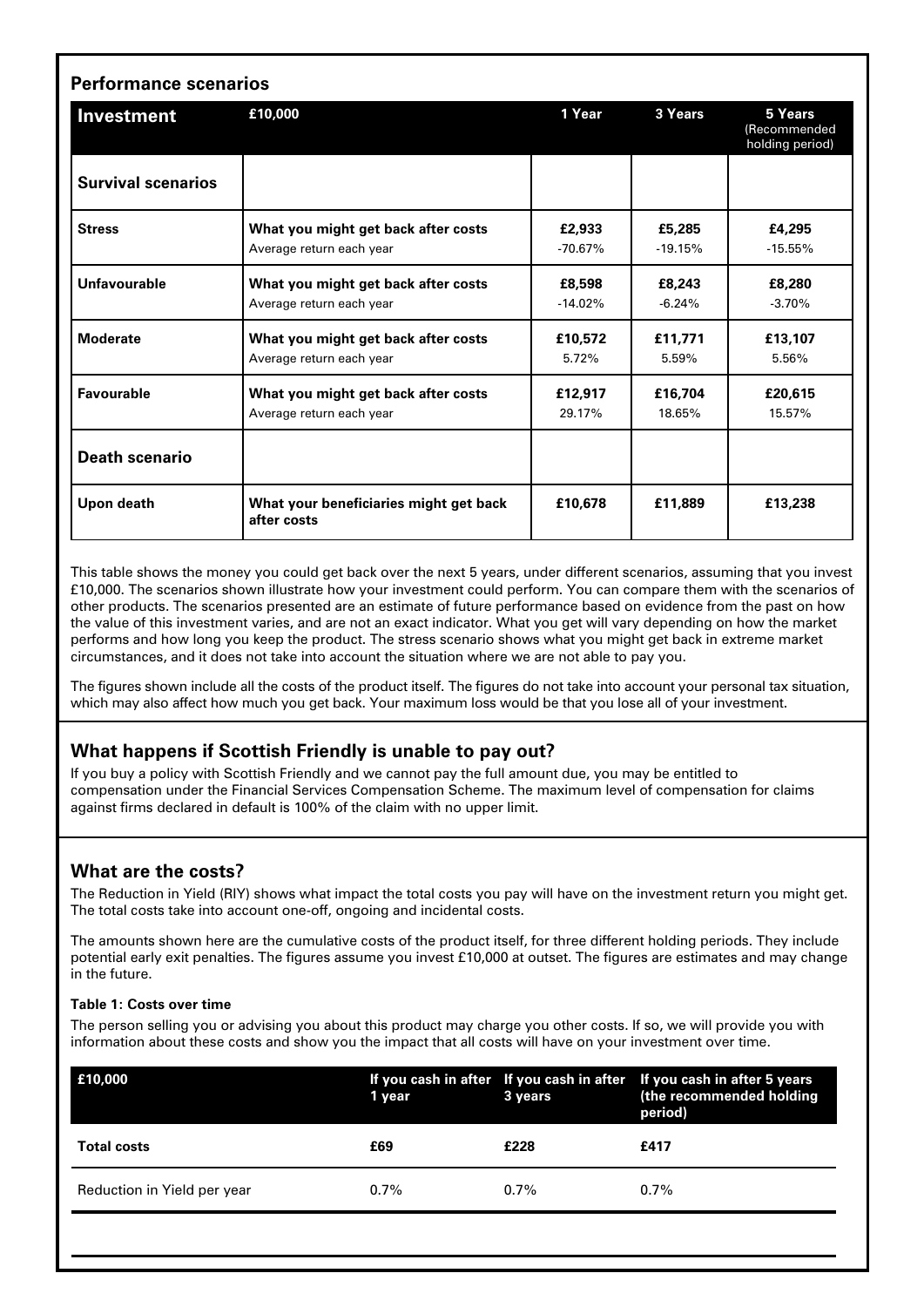| <b>Performance scenarios</b><br>Investment | £10,000                                               | 1 Year    | 3 Years   | 5 Years<br>(Recommended<br>holding period) |
|--------------------------------------------|-------------------------------------------------------|-----------|-----------|--------------------------------------------|
| <b>Survival scenarios</b>                  |                                                       |           |           |                                            |
| <b>Stress</b>                              | What you might get back after costs                   | £2,933    | £5,285    | £4,295                                     |
|                                            | Average return each year                              | $-70.67%$ | $-19.15%$ | $-15.55%$                                  |
| Unfavourable                               | What you might get back after costs                   | £8,598    | £8,243    | £8,280                                     |
|                                            | Average return each year                              | $-14.02%$ | $-6.24%$  | $-3.70%$                                   |
| <b>Moderate</b>                            | What you might get back after costs                   | £10,572   | £11,771   | £13,107                                    |
|                                            | Average return each year                              | 5.72%     | 5.59%     | 5.56%                                      |
| <b>Favourable</b>                          | What you might get back after costs                   | £12,917   | £16,704   | £20,615                                    |
|                                            | Average return each year                              | 29.17%    | 18.65%    | 15.57%                                     |
| <b>Death scenario</b>                      |                                                       |           |           |                                            |
| Upon death                                 | What your beneficiaries might get back<br>after costs | £10.678   | £11,889   | £13,238                                    |

This table shows the money you could get back over the next 5 years, under different scenarios, assuming that you invest £10,000. The scenarios shown illustrate how your investment could perform. You can compare them with the scenarios of other products. The scenarios presented are an estimate of future performance based on evidence from the past on how the value of this investment varies, and are not an exact indicator. What you get will vary depending on how the market performs and how long you keep the product. The stress scenario shows what you might get back in extreme market circumstances, and it does not take into account the situation where we are not able to pay you.

The figures shown include all the costs of the product itself. The figures do not take into account your personal tax situation, which may also affect how much you get back. Your maximum loss would be that you lose all of your investment.

# **What happens if Scottish Friendly is unable to pay out?**

If you buy a policy with Scottish Friendly and we cannot pay the full amount due, you may be entitled to compensation under the Financial Services Compensation Scheme. The maximum level of compensation for claims against firms declared in default is 100% of the claim with no upper limit.

# **What are the costs?**

The Reduction in Yield (RIY) shows what impact the total costs you pay will have on the investment return you might get. The total costs take into account one-off, ongoing and incidental costs.

The amounts shown here are the cumulative costs of the product itself, for three different holding periods. They include potential early exit penalties. The figures assume you invest £10,000 at outset. The figures are estimates and may change in the future.

#### **Table 1: Costs over time**

The person selling you or advising you about this product may charge you other costs. If so, we will provide you with information about these costs and show you the impact that all costs will have on your investment over time.

| E10,000                     | 1 year  | 3 years | If you cash in after If you cash in after If you cash in after 5 years<br>(the recommended holding<br>period) |
|-----------------------------|---------|---------|---------------------------------------------------------------------------------------------------------------|
| <b>Total costs</b>          | £69     | £228    | £417                                                                                                          |
| Reduction in Yield per year | $0.7\%$ | $0.7\%$ | $0.7\%$                                                                                                       |